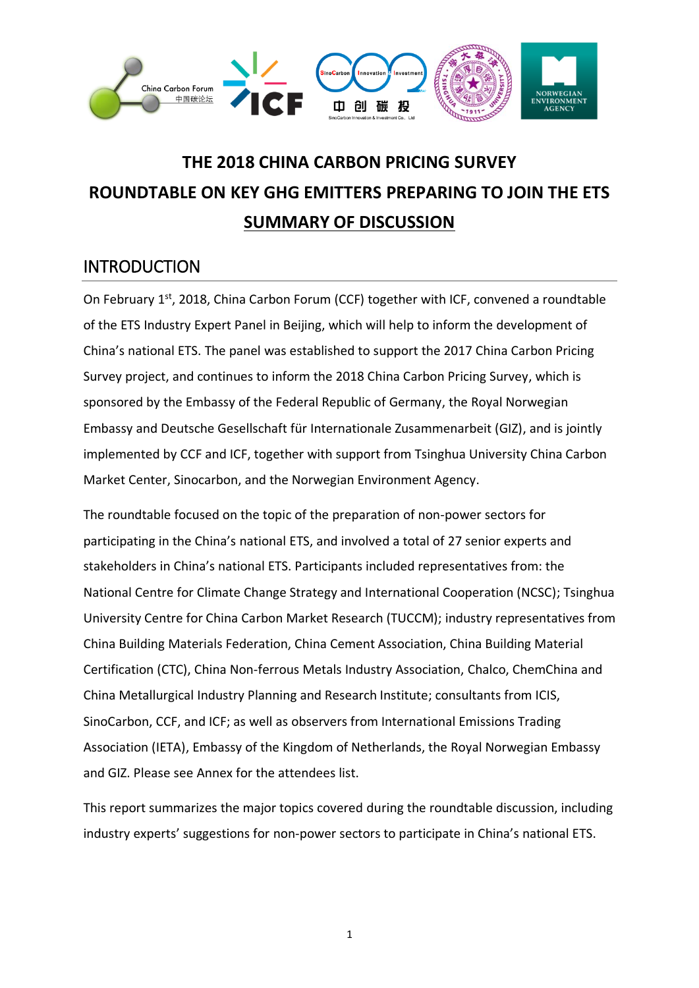

# **THE 2018 CHINA CARBON PRICING SURVEY ROUNDTABLE ON KEY GHG EMITTERS PREPARING TO JOIN THE ETS SUMMARY OF DISCUSSION**

## **INTRODUCTION**

On February 1<sup>st</sup>, 2018, China Carbon Forum (CCF) together with ICF, convened a roundtable of the ETS Industry Expert Panel in Beijing, which will help to inform the development of China's national ETS. The panel was established to support the 2017 China Carbon Pricing Survey project, and continues to inform the 2018 China Carbon Pricing Survey, which is sponsored by the Embassy of the Federal Republic of Germany, the Royal Norwegian Embassy and Deutsche Gesellschaft für Internationale Zusammenarbeit (GIZ), and is jointly implemented by CCF and ICF, together with support from Tsinghua University China Carbon Market Center, Sinocarbon, and the Norwegian Environment Agency.

The roundtable focused on the topic of the preparation of non-power sectors for participating in the China's national ETS, and involved a total of 27 senior experts and stakeholders in China's national ETS. Participants included representatives from: the National Centre for Climate Change Strategy and International Cooperation (NCSC); Tsinghua University Centre for China Carbon Market Research (TUCCM); industry representatives from China Building Materials Federation, China Cement Association, China Building Material Certification (CTC), China Non-ferrous Metals Industry Association, Chalco, ChemChina and China Metallurgical Industry Planning and Research Institute; consultants from ICIS, SinoCarbon, CCF, and ICF; as well as observers from International Emissions Trading Association (IETA), Embassy of the Kingdom of Netherlands, the Royal Norwegian Embassy and GIZ. Please see Annex for the attendees list.

This report summarizes the major topics covered during the roundtable discussion, including industry experts' suggestions for non-power sectors to participate in China's national ETS.

1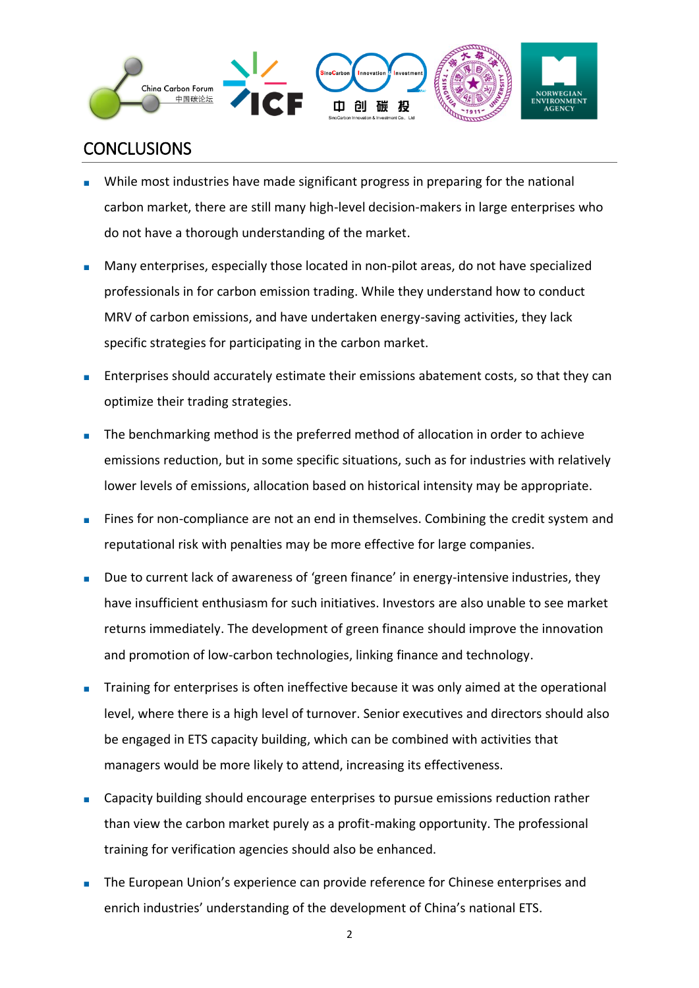

## **CONCLUSIONS**

- While most industries have made significant progress in preparing for the national carbon market, there are still many high-level decision-makers in large enterprises who do not have a thorough understanding of the market.
- Many enterprises, especially those located in non-pilot areas, do not have specialized professionals in for carbon emission trading. While they understand how to conduct MRV of carbon emissions, and have undertaken energy-saving activities, they lack specific strategies for participating in the carbon market.
- Enterprises should accurately estimate their emissions abatement costs, so that they can optimize their trading strategies.
- The benchmarking method is the preferred method of allocation in order to achieve emissions reduction, but in some specific situations, such as for industries with relatively lower levels of emissions, allocation based on historical intensity may be appropriate.
- Fines for non-compliance are not an end in themselves. Combining the credit system and reputational risk with penalties may be more effective for large companies.
- Due to current lack of awareness of 'green finance' in energy-intensive industries, they have insufficient enthusiasm for such initiatives. Investors are also unable to see market returns immediately. The development of green finance should improve the innovation and promotion of low-carbon technologies, linking finance and technology.
- Training for enterprises is often ineffective because it was only aimed at the operational level, where there is a high level of turnover. Senior executives and directors should also be engaged in ETS capacity building, which can be combined with activities that managers would be more likely to attend, increasing its effectiveness.
- Capacity building should encourage enterprises to pursue emissions reduction rather than view the carbon market purely as a profit-making opportunity. The professional training for verification agencies should also be enhanced.
- The European Union's experience can provide reference for Chinese enterprises and enrich industries' understanding of the development of China's national ETS.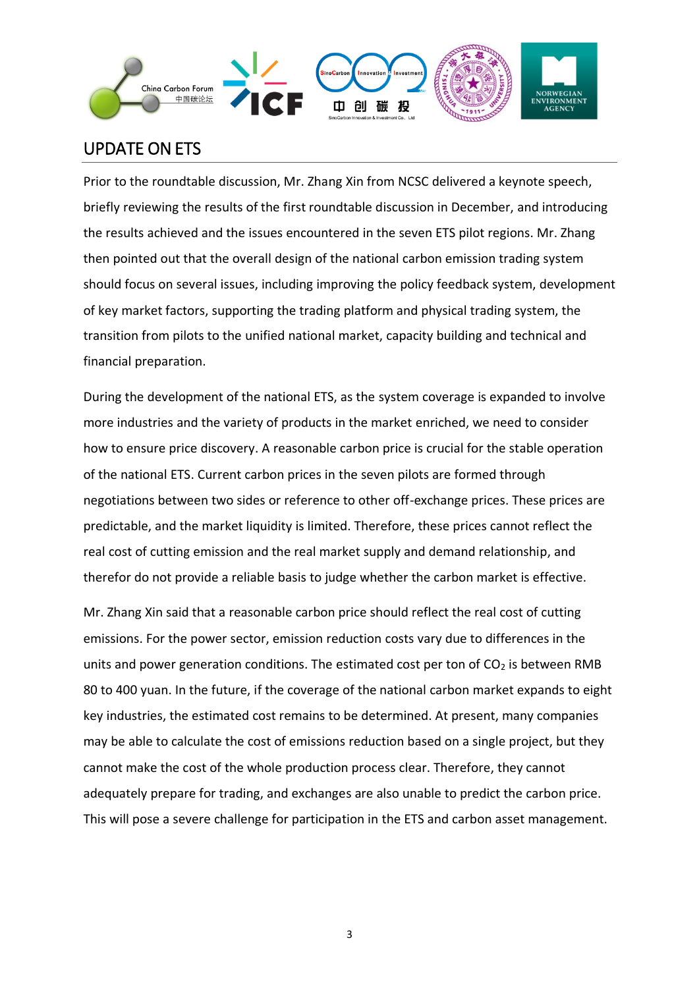

## UPDATE ON ETS

Prior to the roundtable discussion, Mr. Zhang Xin from NCSC delivered a keynote speech, briefly reviewing the results of the first roundtable discussion in December, and introducing the results achieved and the issues encountered in the seven ETS pilot regions. Mr. Zhang then pointed out that the overall design of the national carbon emission trading system should focus on several issues, including improving the policy feedback system, development of key market factors, supporting the trading platform and physical trading system, the transition from pilots to the unified national market, capacity building and technical and financial preparation.

During the development of the national ETS, as the system coverage is expanded to involve more industries and the variety of products in the market enriched, we need to consider how to ensure price discovery. A reasonable carbon price is crucial for the stable operation of the national ETS. Current carbon prices in the seven pilots are formed through negotiations between two sides or reference to other off-exchange prices. These prices are predictable, and the market liquidity is limited. Therefore, these prices cannot reflect the real cost of cutting emission and the real market supply and demand relationship, and therefor do not provide a reliable basis to judge whether the carbon market is effective.

Mr. Zhang Xin said that a reasonable carbon price should reflect the real cost of cutting emissions. For the power sector, emission reduction costs vary due to differences in the units and power generation conditions. The estimated cost per ton of  $CO<sub>2</sub>$  is between RMB 80 to 400 yuan. In the future, if the coverage of the national carbon market expands to eight key industries, the estimated cost remains to be determined. At present, many companies may be able to calculate the cost of emissions reduction based on a single project, but they cannot make the cost of the whole production process clear. Therefore, they cannot adequately prepare for trading, and exchanges are also unable to predict the carbon price. This will pose a severe challenge for participation in the ETS and carbon asset management.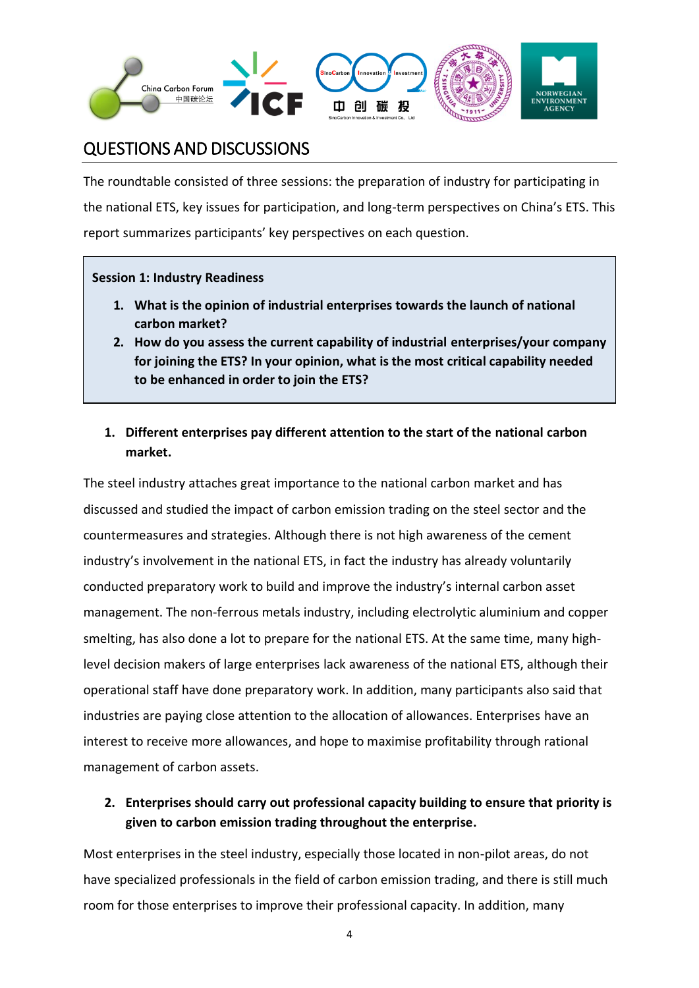

## QUESTIONS AND DISCUSSIONS

The roundtable consisted of three sessions: the preparation of industry for participating in the national ETS, key issues for participation, and long-term perspectives on China's ETS. This report summarizes participants' key perspectives on each question.

#### **Session 1: Industry Readiness**

- **1. What is the opinion of industrial enterprises towards the launch of national carbon market?**
- **2. How do you assess the current capability of industrial enterprises/your company for joining the ETS? In your opinion, what is the most critical capability needed to be enhanced in order to join the ETS?**

### **1. Different enterprises pay different attention to the start of the national carbon market.**

The steel industry attaches great importance to the national carbon market and has discussed and studied the impact of carbon emission trading on the steel sector and the countermeasures and strategies. Although there is not high awareness of the cement industry's involvement in the national ETS, in fact the industry has already voluntarily conducted preparatory work to build and improve the industry's internal carbon asset management. The non-ferrous metals industry, including electrolytic aluminium and copper smelting, has also done a lot to prepare for the national ETS. At the same time, many highlevel decision makers of large enterprises lack awareness of the national ETS, although their operational staff have done preparatory work. In addition, many participants also said that industries are paying close attention to the allocation of allowances. Enterprises have an interest to receive more allowances, and hope to maximise profitability through rational management of carbon assets.

### **2. Enterprises should carry out professional capacity building to ensure that priority is given to carbon emission trading throughout the enterprise.**

Most enterprises in the steel industry, especially those located in non-pilot areas, do not have specialized professionals in the field of carbon emission trading, and there is still much room for those enterprises to improve their professional capacity. In addition, many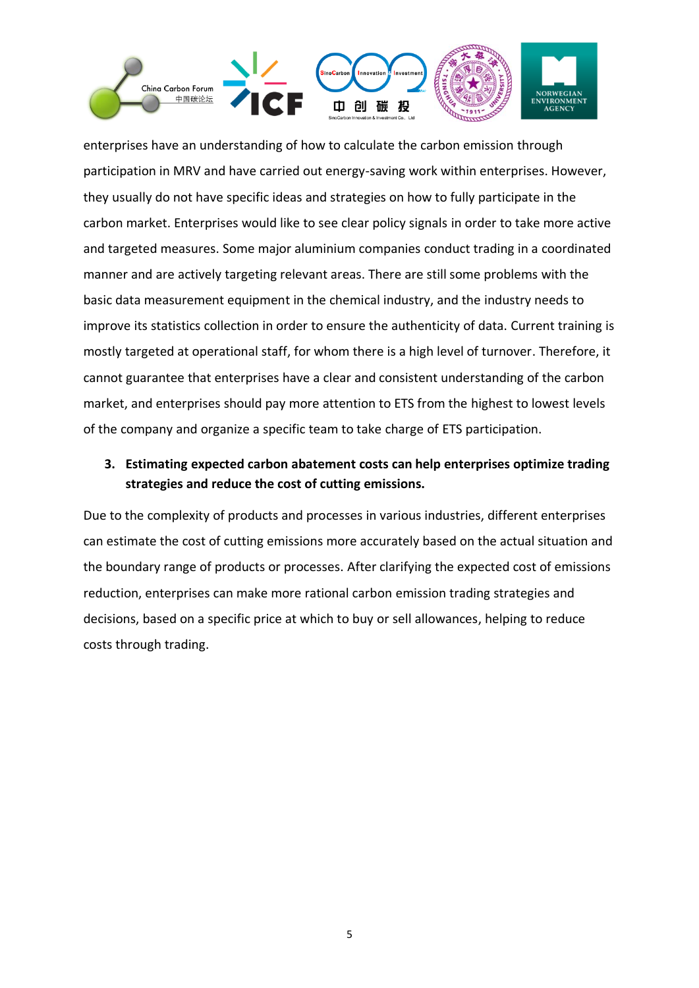

enterprises have an understanding of how to calculate the carbon emission through participation in MRV and have carried out energy-saving work within enterprises. However, they usually do not have specific ideas and strategies on how to fully participate in the carbon market. Enterprises would like to see clear policy signals in order to take more active and targeted measures. Some major aluminium companies conduct trading in a coordinated manner and are actively targeting relevant areas. There are still some problems with the basic data measurement equipment in the chemical industry, and the industry needs to improve its statistics collection in order to ensure the authenticity of data. Current training is mostly targeted at operational staff, for whom there is a high level of turnover. Therefore, it cannot guarantee that enterprises have a clear and consistent understanding of the carbon market, and enterprises should pay more attention to ETS from the highest to lowest levels of the company and organize a specific team to take charge of ETS participation.

### **3. Estimating expected carbon abatement costs can help enterprises optimize trading strategies and reduce the cost of cutting emissions.**

Due to the complexity of products and processes in various industries, different enterprises can estimate the cost of cutting emissions more accurately based on the actual situation and the boundary range of products or processes. After clarifying the expected cost of emissions reduction, enterprises can make more rational carbon emission trading strategies and decisions, based on a specific price at which to buy or sell allowances, helping to reduce costs through trading.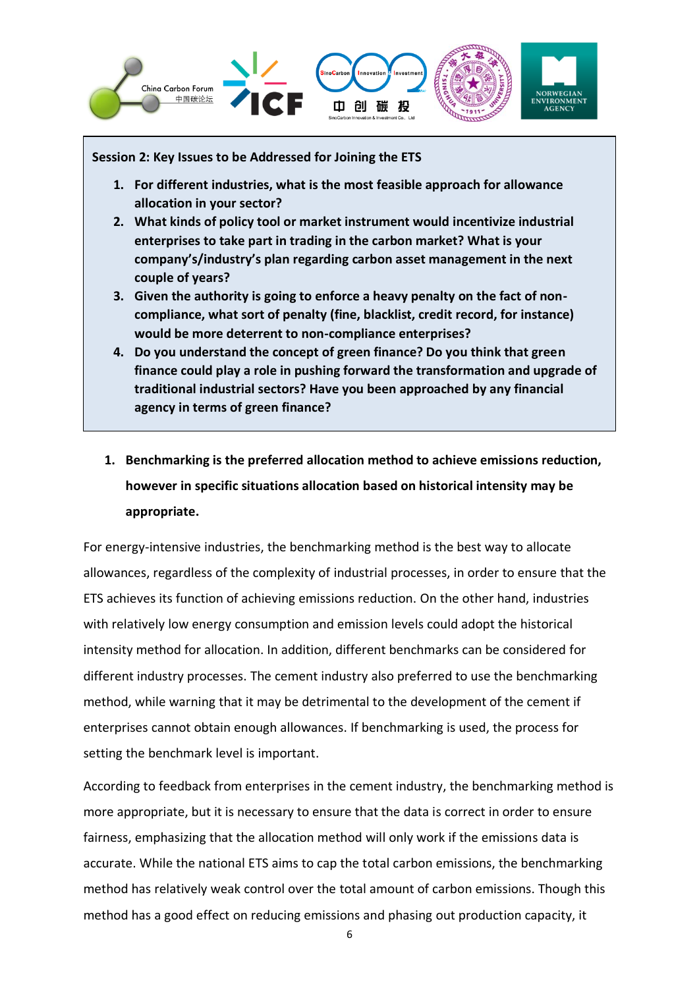

#### **Session 2: Key Issues to be Addressed for Joining the ETS**

- **1. For different industries, what is the most feasible approach for allowance allocation in your sector?**
- **2. What kinds of policy tool or market instrument would incentivize industrial enterprises to take part in trading in the carbon market? What is your company's/industry's plan regarding carbon asset management in the next couple of years?**
- **3. Given the authority is going to enforce a heavy penalty on the fact of noncompliance, what sort of penalty (fine, blacklist, credit record, for instance) would be more deterrent to non-compliance enterprises?**
- **4. Do you understand the concept of green finance? Do you think that green finance could play a role in pushing forward the transformation and upgrade of traditional industrial sectors? Have you been approached by any financial agency in terms of green finance?**
- **1. Benchmarking is the preferred allocation method to achieve emissions reduction, however in specific situations allocation based on historical intensity may be appropriate.**

For energy-intensive industries, the benchmarking method is the best way to allocate allowances, regardless of the complexity of industrial processes, in order to ensure that the ETS achieves its function of achieving emissions reduction. On the other hand, industries with relatively low energy consumption and emission levels could adopt the historical intensity method for allocation. In addition, different benchmarks can be considered for different industry processes. The cement industry also preferred to use the benchmarking method, while warning that it may be detrimental to the development of the cement if enterprises cannot obtain enough allowances. If benchmarking is used, the process for setting the benchmark level is important.

According to feedback from enterprises in the cement industry, the benchmarking method is more appropriate, but it is necessary to ensure that the data is correct in order to ensure fairness, emphasizing that the allocation method will only work if the emissions data is accurate. While the national ETS aims to cap the total carbon emissions, the benchmarking method has relatively weak control over the total amount of carbon emissions. Though this method has a good effect on reducing emissions and phasing out production capacity, it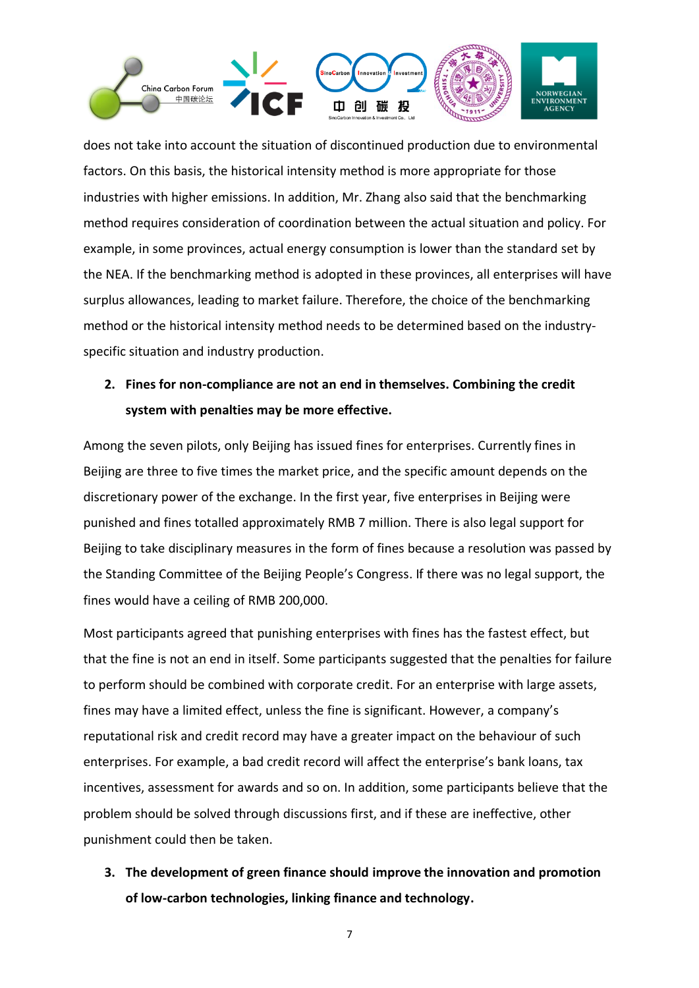

does not take into account the situation of discontinued production due to environmental factors. On this basis, the historical intensity method is more appropriate for those industries with higher emissions. In addition, Mr. Zhang also said that the benchmarking method requires consideration of coordination between the actual situation and policy. For example, in some provinces, actual energy consumption is lower than the standard set by the NEA. If the benchmarking method is adopted in these provinces, all enterprises will have surplus allowances, leading to market failure. Therefore, the choice of the benchmarking method or the historical intensity method needs to be determined based on the industryspecific situation and industry production.

## **2. Fines for non-compliance are not an end in themselves. Combining the credit system with penalties may be more effective.**

Among the seven pilots, only Beijing has issued fines for enterprises. Currently fines in Beijing are three to five times the market price, and the specific amount depends on the discretionary power of the exchange. In the first year, five enterprises in Beijing were punished and fines totalled approximately RMB 7 million. There is also legal support for Beijing to take disciplinary measures in the form of fines because a resolution was passed by the Standing Committee of the Beijing People's Congress. If there was no legal support, the fines would have a ceiling of RMB 200,000.

Most participants agreed that punishing enterprises with fines has the fastest effect, but that the fine is not an end in itself. Some participants suggested that the penalties for failure to perform should be combined with corporate credit. For an enterprise with large assets, fines may have a limited effect, unless the fine is significant. However, a company's reputational risk and credit record may have a greater impact on the behaviour of such enterprises. For example, a bad credit record will affect the enterprise's bank loans, tax incentives, assessment for awards and so on. In addition, some participants believe that the problem should be solved through discussions first, and if these are ineffective, other punishment could then be taken.

**3. The development of green finance should improve the innovation and promotion of low-carbon technologies, linking finance and technology.**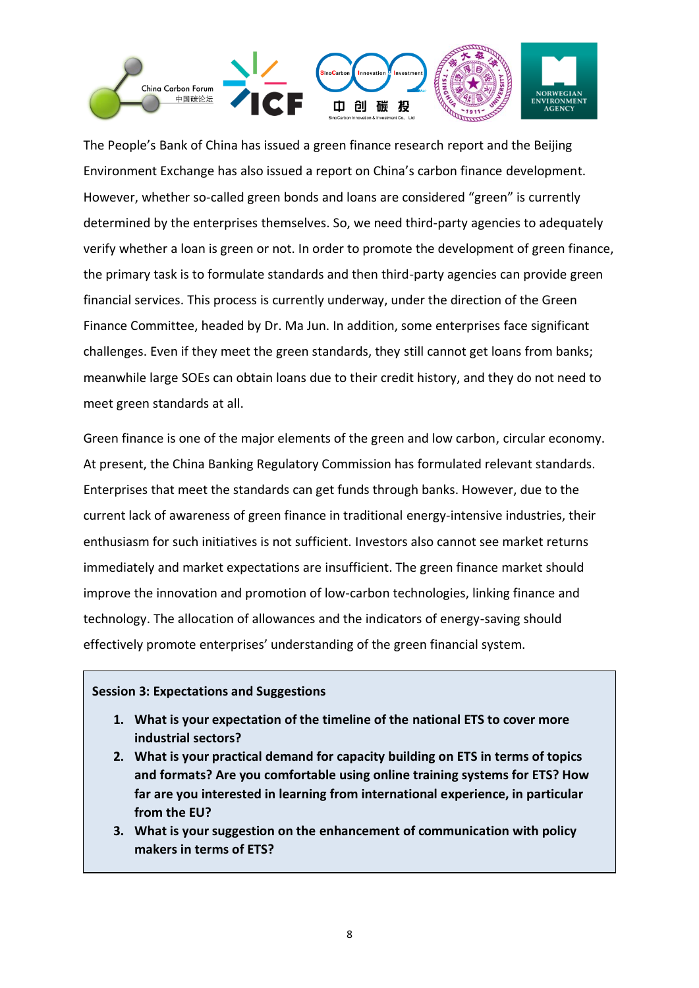

The People's Bank of China has issued a green finance research report and the Beijing Environment Exchange has also issued a report on China's carbon finance development. However, whether so-called green bonds and loans are considered "green" is currently determined by the enterprises themselves. So, we need third-party agencies to adequately verify whether a loan is green or not. In order to promote the development of green finance, the primary task is to formulate standards and then third-party agencies can provide green financial services. This process is currently underway, under the direction of the Green Finance Committee, headed by Dr. Ma Jun. In addition, some enterprises face significant challenges. Even if they meet the green standards, they still cannot get loans from banks; meanwhile large SOEs can obtain loans due to their credit history, and they do not need to meet green standards at all.

Green finance is one of the major elements of the green and low carbon, circular economy. At present, the China Banking Regulatory Commission has formulated relevant standards. Enterprises that meet the standards can get funds through banks. However, due to the current lack of awareness of green finance in traditional energy-intensive industries, their enthusiasm for such initiatives is not sufficient. Investors also cannot see market returns immediately and market expectations are insufficient. The green finance market should improve the innovation and promotion of low-carbon technologies, linking finance and technology. The allocation of allowances and the indicators of energy-saving should effectively promote enterprises' understanding of the green financial system.

#### **Session 3: Expectations and Suggestions**

- **1. What is your expectation of the timeline of the national ETS to cover more industrial sectors?**
- **2. What is your practical demand for capacity building on ETS in terms of topics and formats? Are you comfortable using online training systems for ETS? How far are you interested in learning from international experience, in particular from the EU?**
- **3. What is your suggestion on the enhancement of communication with policy makers in terms of ETS?**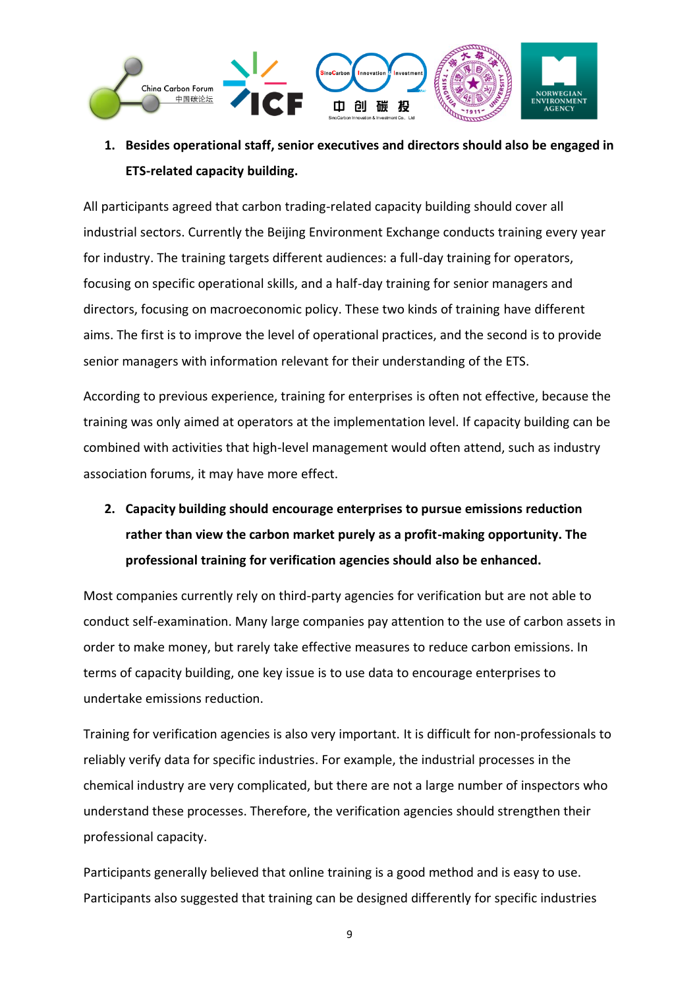

## **1. Besides operational staff, senior executives and directors should also be engaged in ETS-related capacity building.**

All participants agreed that carbon trading-related capacity building should cover all industrial sectors. Currently the Beijing Environment Exchange conducts training every year for industry. The training targets different audiences: a full-day training for operators, focusing on specific operational skills, and a half-day training for senior managers and directors, focusing on macroeconomic policy. These two kinds of training have different aims. The first is to improve the level of operational practices, and the second is to provide senior managers with information relevant for their understanding of the ETS.

According to previous experience, training for enterprises is often not effective, because the training was only aimed at operators at the implementation level. If capacity building can be combined with activities that high-level management would often attend, such as industry association forums, it may have more effect.

**2. Capacity building should encourage enterprises to pursue emissions reduction rather than view the carbon market purely as a profit-making opportunity. The professional training for verification agencies should also be enhanced.**

Most companies currently rely on third-party agencies for verification but are not able to conduct self-examination. Many large companies pay attention to the use of carbon assets in order to make money, but rarely take effective measures to reduce carbon emissions. In terms of capacity building, one key issue is to use data to encourage enterprises to undertake emissions reduction.

Training for verification agencies is also very important. It is difficult for non-professionals to reliably verify data for specific industries. For example, the industrial processes in the chemical industry are very complicated, but there are not a large number of inspectors who understand these processes. Therefore, the verification agencies should strengthen their professional capacity.

Participants generally believed that online training is a good method and is easy to use. Participants also suggested that training can be designed differently for specific industries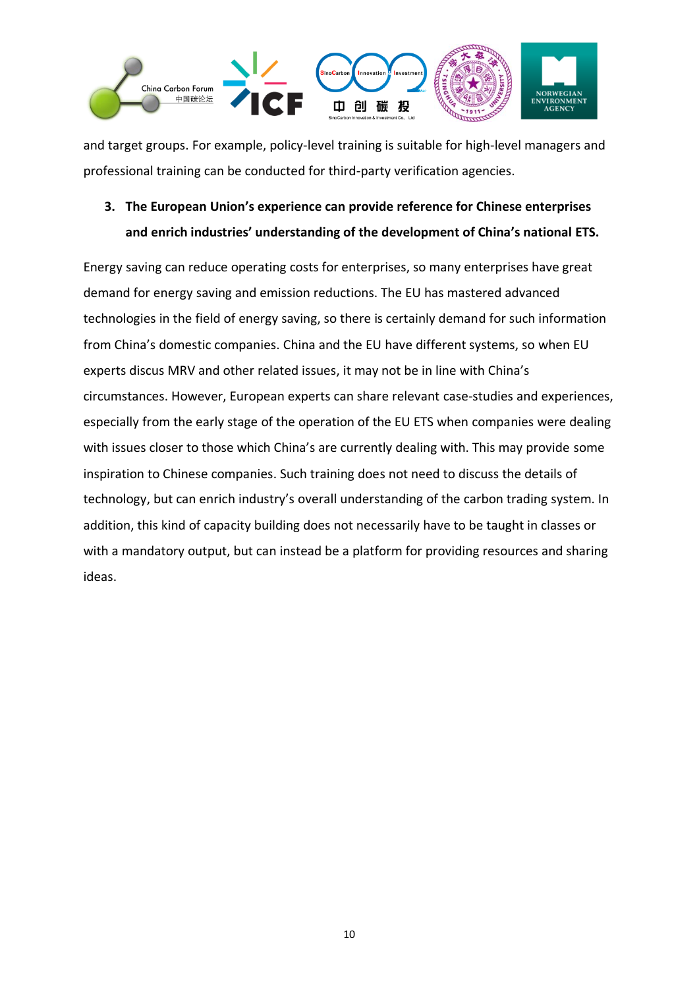

and target groups. For example, policy-level training is suitable for high-level managers and professional training can be conducted for third-party verification agencies.

### **3. The European Union's experience can provide reference for Chinese enterprises and enrich industries' understanding of the development of China's national ETS.**

Energy saving can reduce operating costs for enterprises, so many enterprises have great demand for energy saving and emission reductions. The EU has mastered advanced technologies in the field of energy saving, so there is certainly demand for such information from China's domestic companies. China and the EU have different systems, so when EU experts discus MRV and other related issues, it may not be in line with China's circumstances. However, European experts can share relevant case-studies and experiences, especially from the early stage of the operation of the EU ETS when companies were dealing with issues closer to those which China's are currently dealing with. This may provide some inspiration to Chinese companies. Such training does not need to discuss the details of technology, but can enrich industry's overall understanding of the carbon trading system. In addition, this kind of capacity building does not necessarily have to be taught in classes or with a mandatory output, but can instead be a platform for providing resources and sharing ideas.